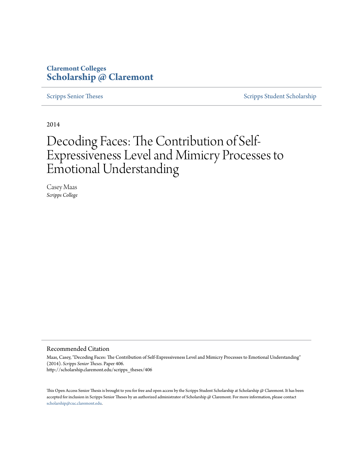# **Claremont Colleges [Scholarship @ Claremont](http://scholarship.claremont.edu)**

[Scripps Senior Theses](http://scholarship.claremont.edu/scripps_theses) [Scripps Student Scholarship](http://scholarship.claremont.edu/scripps_student)

2014

# Decoding Faces: The Contribution of Self-Expressiveness Level and Mimicry Processes to Emotional Understanding

Casey Maas *Scripps College*

#### Recommended Citation

Maas, Casey, "Decoding Faces: The Contribution of Self-Expressiveness Level and Mimicry Processes to Emotional Understanding" (2014). *Scripps Senior Theses.* Paper 406. http://scholarship.claremont.edu/scripps\_theses/406

This Open Access Senior Thesis is brought to you for free and open access by the Scripps Student Scholarship at Scholarship @ Claremont. It has been accepted for inclusion in Scripps Senior Theses by an authorized administrator of Scholarship @ Claremont. For more information, please contact [scholarship@cuc.claremont.edu.](mailto:scholarship@cuc.claremont.edu)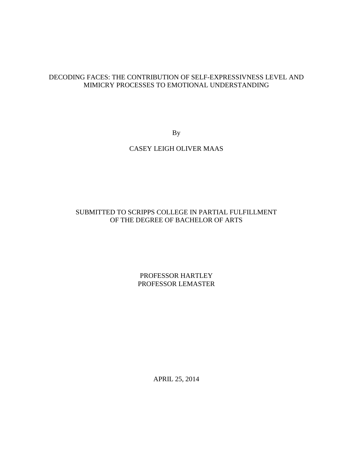# DECODING FACES: THE CONTRIBUTION OF SELF-EXPRESSIVNESS LEVEL AND MIMICRY PROCESSES TO EMOTIONAL UNDERSTANDING

By

# CASEY LEIGH OLIVER MAAS

# SUBMITTED TO SCRIPPS COLLEGE IN PARTIAL FULFILLMENT OF THE DEGREE OF BACHELOR OF ARTS

PROFESSOR HARTLEY PROFESSOR LEMASTER

APRIL 25, 2014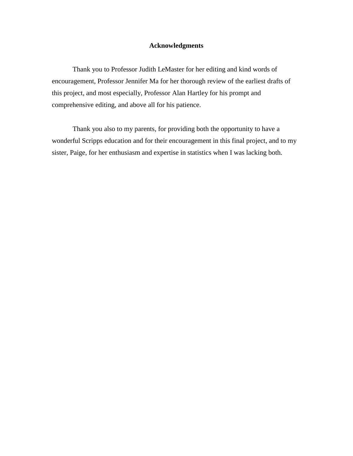# **Acknowledgments**

Thank you to Professor Judith LeMaster for her editing and kind words of encouragement, Professor Jennifer Ma for her thorough review of the earliest drafts of this project, and most especially, Professor Alan Hartley for his prompt and comprehensive editing, and above all for his patience.

Thank you also to my parents, for providing both the opportunity to have a wonderful Scripps education and for their encouragement in this final project, and to my sister, Paige, for her enthusiasm and expertise in statistics when I was lacking both.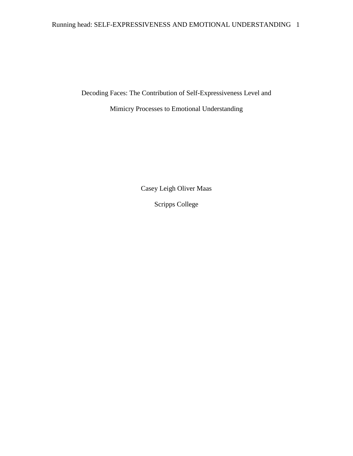# Running head: SELF-EXPRESSIVENESS AND EMOTIONAL UNDERSTANDING 1

Decoding Faces: The Contribution of Self-Expressiveness Level and

Mimicry Processes to Emotional Understanding

Casey Leigh Oliver Maas

Scripps College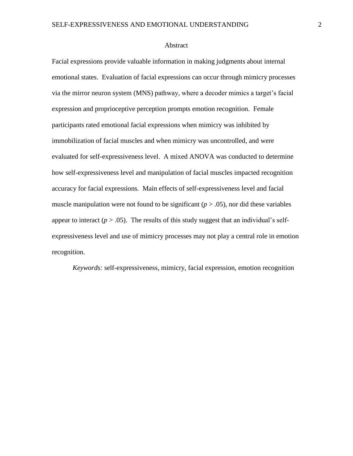#### Abstract

Facial expressions provide valuable information in making judgments about internal emotional states. Evaluation of facial expressions can occur through mimicry processes via the mirror neuron system (MNS) pathway, where a decoder mimics a target's facial expression and proprioceptive perception prompts emotion recognition. Female participants rated emotional facial expressions when mimicry was inhibited by immobilization of facial muscles and when mimicry was uncontrolled, and were evaluated for self-expressiveness level. A mixed ANOVA was conducted to determine how self-expressiveness level and manipulation of facial muscles impacted recognition accuracy for facial expressions. Main effects of self-expressiveness level and facial muscle manipulation were not found to be significant  $(p > .05)$ , nor did these variables appear to interact ( $p > .05$ ). The results of this study suggest that an individual's selfexpressiveness level and use of mimicry processes may not play a central role in emotion recognition.

*Keywords:* self-expressiveness, mimicry, facial expression, emotion recognition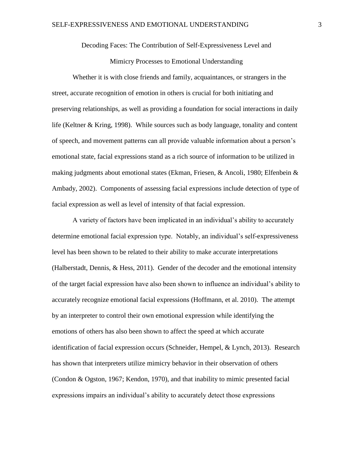# Decoding Faces: The Contribution of Self-Expressiveness Level and

# Mimicry Processes to Emotional Understanding

Whether it is with close friends and family, acquaintances, or strangers in the street, accurate recognition of emotion in others is crucial for both initiating and preserving relationships, as well as providing a foundation for social interactions in daily life (Keltner & Kring, 1998). While sources such as body language, tonality and content of speech, and movement patterns can all provide valuable information about a person's emotional state, facial expressions stand as a rich source of information to be utilized in making judgments about emotional states (Ekman, Friesen, & Ancoli, 1980; Elfenbein  $\&$ Ambady, 2002). Components of assessing facial expressions include detection of type of facial expression as well as level of intensity of that facial expression.

A variety of factors have been implicated in an individual's ability to accurately determine emotional facial expression type. Notably, an individual's self-expressiveness level has been shown to be related to their ability to make accurate interpretations (Halberstadt, Dennis, & Hess, 2011). Gender of the decoder and the emotional intensity of the target facial expression have also been shown to influence an individual's ability to accurately recognize emotional facial expressions (Hoffmann, et al. 2010). The attempt by an interpreter to control their own emotional expression while identifying the emotions of others has also been shown to affect the speed at which accurate identification of facial expression occurs (Schneider, Hempel, & Lynch, 2013). Research has shown that interpreters utilize mimicry behavior in their observation of others (Condon & Ogston, 1967; Kendon, 1970), and that inability to mimic presented facial expressions impairs an individual's ability to accurately detect those expressions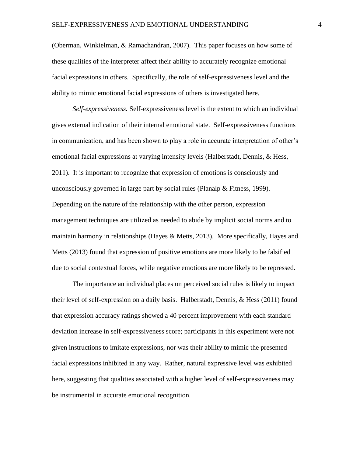(Oberman, Winkielman, & Ramachandran, 2007). This paper focuses on how some of these qualities of the interpreter affect their ability to accurately recognize emotional facial expressions in others. Specifically, the role of self-expressiveness level and the ability to mimic emotional facial expressions of others is investigated here.

*Self-expressiveness.* Self-expressiveness level is the extent to which an individual gives external indication of their internal emotional state. Self-expressiveness functions in communication, and has been shown to play a role in accurate interpretation of other's emotional facial expressions at varying intensity levels (Halberstadt, Dennis, & Hess, 2011). It is important to recognize that expression of emotions is consciously and unconsciously governed in large part by social rules (Planalp & Fitness, 1999). Depending on the nature of the relationship with the other person, expression management techniques are utilized as needed to abide by implicit social norms and to maintain harmony in relationships (Hayes & Metts, 2013). More specifically, Hayes and Metts (2013) found that expression of positive emotions are more likely to be falsified due to social contextual forces, while negative emotions are more likely to be repressed.

The importance an individual places on perceived social rules is likely to impact their level of self-expression on a daily basis. Halberstadt, Dennis, & Hess (2011) found that expression accuracy ratings showed a 40 percent improvement with each standard deviation increase in self-expressiveness score; participants in this experiment were not given instructions to imitate expressions, nor was their ability to mimic the presented facial expressions inhibited in any way. Rather, natural expressive level was exhibited here, suggesting that qualities associated with a higher level of self-expressiveness may be instrumental in accurate emotional recognition.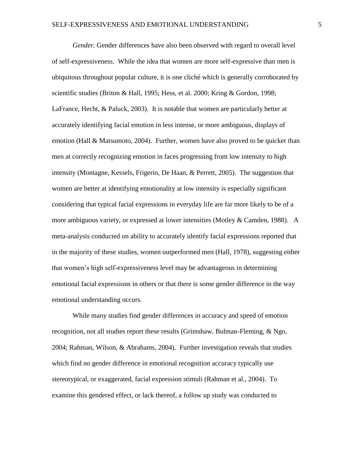*Gender.* Gender differences have also been observed with regard to overall level of self-expressiveness. While the idea that women are more self-expressive than men is ubiquitous throughout popular culture, it is one cliché which is generally corroborated by scientific studies (Briton & Hall, 1995; Hess, et al. 2000; Kring & Gordon, 1998; LaFrance, Hecht, & Paluck, 2003). It is notable that women are particularly better at accurately identifying facial emotion in less intense, or more ambiguous, displays of emotion (Hall & Matsumoto, 2004). Further, women have also proved to be quicker than men at correctly recognizing emotion in faces progressing from low intensity to high intensity (Montagne, Kessels, Frigerio, De Haan, & Perrett, 2005). The suggestion that women are better at identifying emotionality at low intensity is especially significant considering that typical facial expressions in everyday life are far more likely to be of a more ambiguous variety, or expressed at lower intensities (Motley  $&$  Camden, 1988). A meta-analysis conducted on ability to accurately identify facial expressions reported that in the majority of these studies, women outperformed men (Hall, 1978), suggesting either that women's high self-expressiveness level may be advantageous in determining emotional facial expressions in others or that there is some gender difference in the way emotional understanding occurs.

While many studies find gender differences in accuracy and speed of emotion recognition, not all studies report these results (Grimshaw, Bulman-Fleming, & Ngo, 2004; Rahman, Wilson, & Abrahams, 2004). Further investigation reveals that studies which find no gender difference in emotional recognition accuracy typically use stereotypical, or exaggerated, facial expression stimuli (Rahman et al., 2004). To examine this gendered effect, or lack thereof, a follow up study was conducted to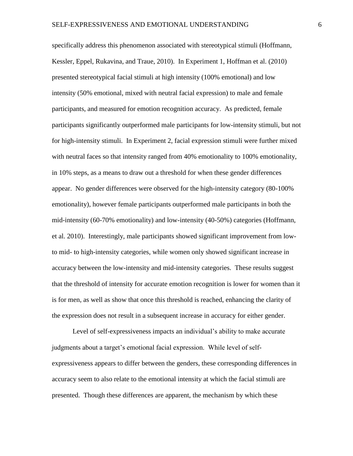specifically address this phenomenon associated with stereotypical stimuli (Hoffmann, Kessler, Eppel, Rukavina, and Traue, 2010). In Experiment 1, Hoffman et al. (2010) presented stereotypical facial stimuli at high intensity (100% emotional) and low intensity (50% emotional, mixed with neutral facial expression) to male and female participants, and measured for emotion recognition accuracy. As predicted, female participants significantly outperformed male participants for low-intensity stimuli, but not for high-intensity stimuli. In Experiment 2, facial expression stimuli were further mixed with neutral faces so that intensity ranged from 40% emotionality to 100% emotionality, in 10% steps, as a means to draw out a threshold for when these gender differences appear. No gender differences were observed for the high-intensity category (80-100% emotionality), however female participants outperformed male participants in both the mid-intensity (60-70% emotionality) and low-intensity (40-50%) categories (Hoffmann, et al. 2010). Interestingly, male participants showed significant improvement from lowto mid- to high-intensity categories, while women only showed significant increase in accuracy between the low-intensity and mid-intensity categories. These results suggest that the threshold of intensity for accurate emotion recognition is lower for women than it is for men, as well as show that once this threshold is reached, enhancing the clarity of the expression does not result in a subsequent increase in accuracy for either gender.

Level of self-expressiveness impacts an individual's ability to make accurate judgments about a target's emotional facial expression. While level of selfexpressiveness appears to differ between the genders, these corresponding differences in accuracy seem to also relate to the emotional intensity at which the facial stimuli are presented. Though these differences are apparent, the mechanism by which these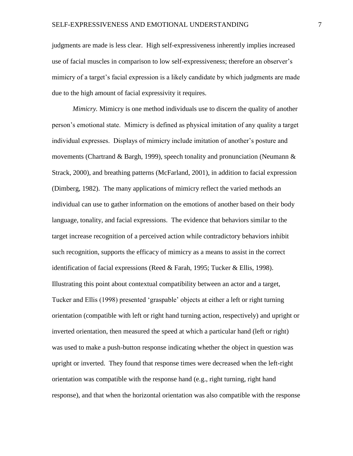judgments are made is less clear. High self-expressiveness inherently implies increased use of facial muscles in comparison to low self-expressiveness; therefore an observer's mimicry of a target's facial expression is a likely candidate by which judgments are made due to the high amount of facial expressivity it requires.

*Mimicry.* Mimicry is one method individuals use to discern the quality of another person's emotional state. Mimicry is defined as physical imitation of any quality a target individual expresses. Displays of mimicry include imitation of another's posture and movements (Chartrand & Bargh, 1999), speech tonality and pronunciation (Neumann  $\&$ Strack, 2000), and breathing patterns (McFarland, 2001), in addition to facial expression (Dimberg, 1982). The many applications of mimicry reflect the varied methods an individual can use to gather information on the emotions of another based on their body language, tonality, and facial expressions. The evidence that behaviors similar to the target increase recognition of a perceived action while contradictory behaviors inhibit such recognition, supports the efficacy of mimicry as a means to assist in the correct identification of facial expressions (Reed & Farah, 1995; Tucker & Ellis, 1998). Illustrating this point about contextual compatibility between an actor and a target, Tucker and Ellis (1998) presented 'graspable' objects at either a left or right turning orientation (compatible with left or right hand turning action, respectively) and upright or inverted orientation, then measured the speed at which a particular hand (left or right) was used to make a push-button response indicating whether the object in question was upright or inverted. They found that response times were decreased when the left-right orientation was compatible with the response hand (e.g., right turning, right hand response), and that when the horizontal orientation was also compatible with the response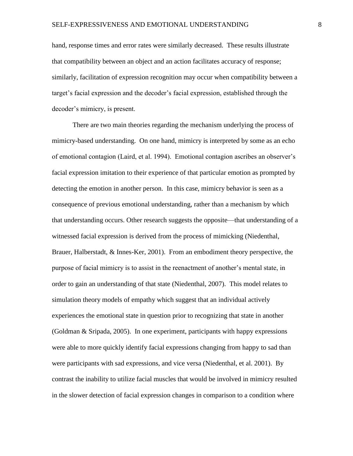hand, response times and error rates were similarly decreased. These results illustrate that compatibility between an object and an action facilitates accuracy of response; similarly, facilitation of expression recognition may occur when compatibility between a target's facial expression and the decoder's facial expression, established through the decoder's mimicry, is present.

There are two main theories regarding the mechanism underlying the process of mimicry-based understanding. On one hand, mimicry is interpreted by some as an echo of emotional contagion (Laird, et al. 1994). Emotional contagion ascribes an observer's facial expression imitation to their experience of that particular emotion as prompted by detecting the emotion in another person. In this case, mimicry behavior is seen as a consequence of previous emotional understanding, rather than a mechanism by which that understanding occurs. Other research suggests the opposite—that understanding of a witnessed facial expression is derived from the process of mimicking (Niedenthal, Brauer, Halberstadt, & Innes-Ker, 2001). From an embodiment theory perspective, the purpose of facial mimicry is to assist in the reenactment of another's mental state, in order to gain an understanding of that state (Niedenthal, 2007). This model relates to simulation theory models of empathy which suggest that an individual actively experiences the emotional state in question prior to recognizing that state in another (Goldman & Sripada, 2005). In one experiment, participants with happy expressions were able to more quickly identify facial expressions changing from happy to sad than were participants with sad expressions, and vice versa (Niedenthal, et al. 2001). By contrast the inability to utilize facial muscles that would be involved in mimicry resulted in the slower detection of facial expression changes in comparison to a condition where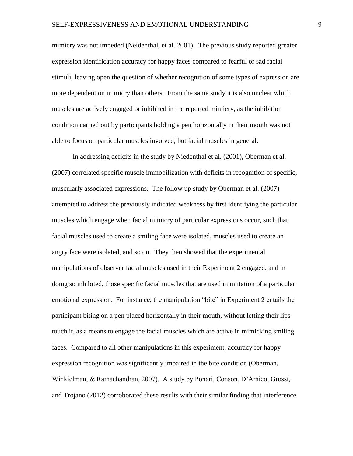mimicry was not impeded (Neidenthal, et al. 2001). The previous study reported greater expression identification accuracy for happy faces compared to fearful or sad facial stimuli, leaving open the question of whether recognition of some types of expression are more dependent on mimicry than others. From the same study it is also unclear which muscles are actively engaged or inhibited in the reported mimicry, as the inhibition condition carried out by participants holding a pen horizontally in their mouth was not able to focus on particular muscles involved, but facial muscles in general.

In addressing deficits in the study by Niedenthal et al. (2001), Oberman et al. (2007) correlated specific muscle immobilization with deficits in recognition of specific, muscularly associated expressions. The follow up study by Oberman et al. (2007) attempted to address the previously indicated weakness by first identifying the particular muscles which engage when facial mimicry of particular expressions occur, such that facial muscles used to create a smiling face were isolated, muscles used to create an angry face were isolated, and so on. They then showed that the experimental manipulations of observer facial muscles used in their Experiment 2 engaged, and in doing so inhibited, those specific facial muscles that are used in imitation of a particular emotional expression. For instance, the manipulation "bite" in Experiment 2 entails the participant biting on a pen placed horizontally in their mouth, without letting their lips touch it, as a means to engage the facial muscles which are active in mimicking smiling faces. Compared to all other manipulations in this experiment, accuracy for happy expression recognition was significantly impaired in the bite condition (Oberman, Winkielman, & Ramachandran, 2007). A study by Ponari, Conson, D'Amico, Grossi, and Trojano (2012) corroborated these results with their similar finding that interference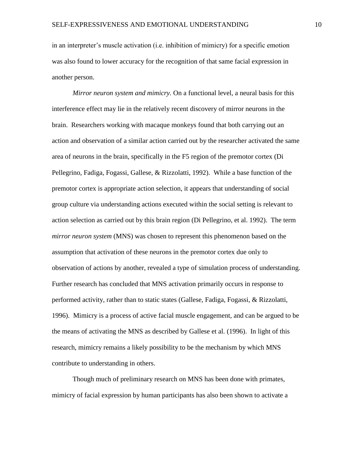in an interpreter's muscle activation (i.e. inhibition of mimicry) for a specific emotion was also found to lower accuracy for the recognition of that same facial expression in another person.

*Mirror neuron system and mimicry.* On a functional level, a neural basis for this interference effect may lie in the relatively recent discovery of mirror neurons in the brain. Researchers working with macaque monkeys found that both carrying out an action and observation of a similar action carried out by the researcher activated the same area of neurons in the brain, specifically in the F5 region of the premotor cortex (Di Pellegrino, Fadiga, Fogassi, Gallese, & Rizzolatti, 1992). While a base function of the premotor cortex is appropriate action selection, it appears that understanding of social group culture via understanding actions executed within the social setting is relevant to action selection as carried out by this brain region (Di Pellegrino, et al. 1992). The term *mirror neuron system* (MNS) was chosen to represent this phenomenon based on the assumption that activation of these neurons in the premotor cortex due only to observation of actions by another, revealed a type of simulation process of understanding. Further research has concluded that MNS activation primarily occurs in response to performed activity, rather than to static states (Gallese, Fadiga, Fogassi, & Rizzolatti, 1996). Mimicry is a process of active facial muscle engagement, and can be argued to be the means of activating the MNS as described by Gallese et al. (1996). In light of this research, mimicry remains a likely possibility to be the mechanism by which MNS contribute to understanding in others.

Though much of preliminary research on MNS has been done with primates, mimicry of facial expression by human participants has also been shown to activate a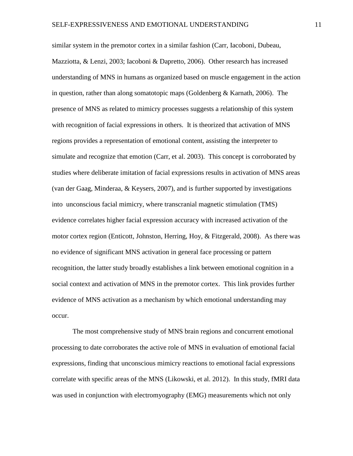similar system in the premotor cortex in a similar fashion (Carr, Iacoboni, Dubeau, Mazziotta, & Lenzi, 2003; Iacoboni & Dapretto, 2006). Other research has increased understanding of MNS in humans as organized based on muscle engagement in the action in question, rather than along somatotopic maps (Goldenberg  $&$  Karnath, 2006). The presence of MNS as related to mimicry processes suggests a relationship of this system with recognition of facial expressions in others. It is theorized that activation of MNS regions provides a representation of emotional content, assisting the interpreter to simulate and recognize that emotion (Carr, et al. 2003). This concept is corroborated by studies where deliberate imitation of facial expressions results in activation of MNS areas (van der Gaag, Minderaa, & Keysers, 2007), and is further supported by investigations into unconscious facial mimicry, where transcranial magnetic stimulation (TMS) evidence correlates higher facial expression accuracy with increased activation of the motor cortex region (Enticott, Johnston, Herring, Hoy, & Fitzgerald, 2008). As there was no evidence of significant MNS activation in general face processing or pattern recognition, the latter study broadly establishes a link between emotional cognition in a social context and activation of MNS in the premotor cortex. This link provides further evidence of MNS activation as a mechanism by which emotional understanding may occur.

The most comprehensive study of MNS brain regions and concurrent emotional processing to date corroborates the active role of MNS in evaluation of emotional facial expressions, finding that unconscious mimicry reactions to emotional facial expressions correlate with specific areas of the MNS (Likowski, et al. 2012). In this study, fMRI data was used in conjunction with electromyography (EMG) measurements which not only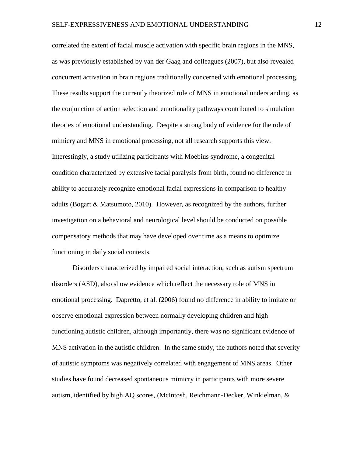correlated the extent of facial muscle activation with specific brain regions in the MNS, as was previously established by van der Gaag and colleagues (2007), but also revealed concurrent activation in brain regions traditionally concerned with emotional processing. These results support the currently theorized role of MNS in emotional understanding, as the conjunction of action selection and emotionality pathways contributed to simulation theories of emotional understanding. Despite a strong body of evidence for the role of mimicry and MNS in emotional processing, not all research supports this view. Interestingly, a study utilizing participants with Moebius syndrome, a congenital condition characterized by extensive facial paralysis from birth, found no difference in ability to accurately recognize emotional facial expressions in comparison to healthy adults (Bogart & Matsumoto, 2010). However, as recognized by the authors, further investigation on a behavioral and neurological level should be conducted on possible compensatory methods that may have developed over time as a means to optimize functioning in daily social contexts.

Disorders characterized by impaired social interaction, such as autism spectrum disorders (ASD), also show evidence which reflect the necessary role of MNS in emotional processing. Dapretto, et al. (2006) found no difference in ability to imitate or observe emotional expression between normally developing children and high functioning autistic children, although importantly, there was no significant evidence of MNS activation in the autistic children. In the same study, the authors noted that severity of autistic symptoms was negatively correlated with engagement of MNS areas. Other studies have found decreased spontaneous mimicry in participants with more severe autism, identified by high AQ scores, (McIntosh, Reichmann-Decker, Winkielman, &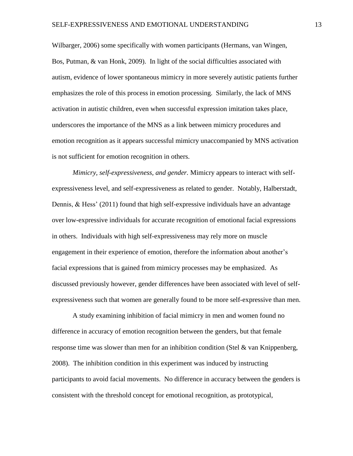Wilbarger, 2006) some specifically with women participants (Hermans, van Wingen, Bos, Putman, & van Honk, 2009). In light of the social difficulties associated with autism, evidence of lower spontaneous mimicry in more severely autistic patients further emphasizes the role of this process in emotion processing. Similarly, the lack of MNS activation in autistic children, even when successful expression imitation takes place, underscores the importance of the MNS as a link between mimicry procedures and emotion recognition as it appears successful mimicry unaccompanied by MNS activation is not sufficient for emotion recognition in others.

*Mimicry, self-expressiveness, and gender.* Mimicry appears to interact with selfexpressiveness level, and self-expressiveness as related to gender. Notably, Halberstadt, Dennis, & Hess' (2011) found that high self-expressive individuals have an advantage over low-expressive individuals for accurate recognition of emotional facial expressions in others. Individuals with high self-expressiveness may rely more on muscle engagement in their experience of emotion, therefore the information about another's facial expressions that is gained from mimicry processes may be emphasized. As discussed previously however, gender differences have been associated with level of selfexpressiveness such that women are generally found to be more self-expressive than men.

A study examining inhibition of facial mimicry in men and women found no difference in accuracy of emotion recognition between the genders, but that female response time was slower than men for an inhibition condition (Stel & van Knippenberg, 2008). The inhibition condition in this experiment was induced by instructing participants to avoid facial movements. No difference in accuracy between the genders is consistent with the threshold concept for emotional recognition, as prototypical,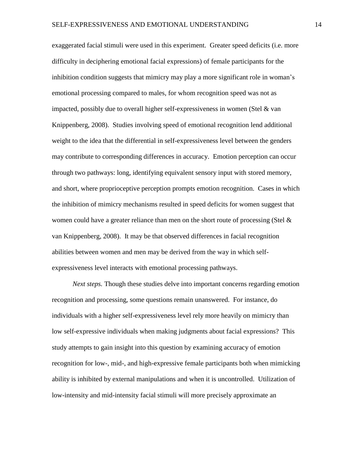exaggerated facial stimuli were used in this experiment. Greater speed deficits (i.e. more difficulty in deciphering emotional facial expressions) of female participants for the inhibition condition suggests that mimicry may play a more significant role in woman's emotional processing compared to males, for whom recognition speed was not as impacted, possibly due to overall higher self-expressiveness in women (Stel & van Knippenberg, 2008). Studies involving speed of emotional recognition lend additional weight to the idea that the differential in self-expressiveness level between the genders may contribute to corresponding differences in accuracy. Emotion perception can occur through two pathways: long, identifying equivalent sensory input with stored memory, and short, where proprioceptive perception prompts emotion recognition. Cases in which the inhibition of mimicry mechanisms resulted in speed deficits for women suggest that women could have a greater reliance than men on the short route of processing (Stel  $\&$ van Knippenberg, 2008). It may be that observed differences in facial recognition abilities between women and men may be derived from the way in which selfexpressiveness level interacts with emotional processing pathways.

*Next steps.* Though these studies delve into important concerns regarding emotion recognition and processing, some questions remain unanswered. For instance, do individuals with a higher self-expressiveness level rely more heavily on mimicry than low self-expressive individuals when making judgments about facial expressions? This study attempts to gain insight into this question by examining accuracy of emotion recognition for low-, mid-, and high-expressive female participants both when mimicking ability is inhibited by external manipulations and when it is uncontrolled. Utilization of low-intensity and mid-intensity facial stimuli will more precisely approximate an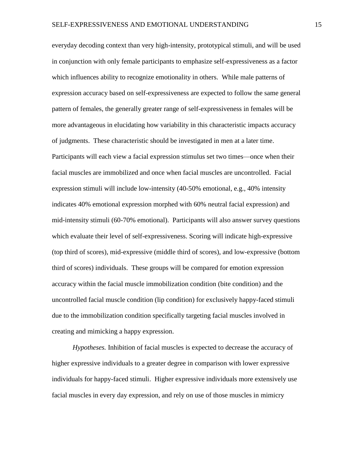everyday decoding context than very high-intensity, prototypical stimuli, and will be used in conjunction with only female participants to emphasize self-expressiveness as a factor which influences ability to recognize emotionality in others. While male patterns of expression accuracy based on self-expressiveness are expected to follow the same general pattern of females, the generally greater range of self-expressiveness in females will be more advantageous in elucidating how variability in this characteristic impacts accuracy of judgments. These characteristic should be investigated in men at a later time. Participants will each view a facial expression stimulus set two times—once when their facial muscles are immobilized and once when facial muscles are uncontrolled. Facial expression stimuli will include low-intensity (40-50% emotional, e.g., 40% intensity indicates 40% emotional expression morphed with 60% neutral facial expression) and mid-intensity stimuli (60-70% emotional). Participants will also answer survey questions which evaluate their level of self-expressiveness. Scoring will indicate high-expressive (top third of scores), mid-expressive (middle third of scores), and low-expressive (bottom third of scores) individuals. These groups will be compared for emotion expression accuracy within the facial muscle immobilization condition (bite condition) and the uncontrolled facial muscle condition (lip condition) for exclusively happy-faced stimuli due to the immobilization condition specifically targeting facial muscles involved in creating and mimicking a happy expression.

*Hypotheses.* Inhibition of facial muscles is expected to decrease the accuracy of higher expressive individuals to a greater degree in comparison with lower expressive individuals for happy-faced stimuli. Higher expressive individuals more extensively use facial muscles in every day expression, and rely on use of those muscles in mimicry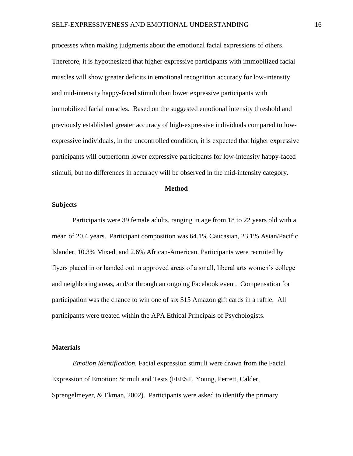processes when making judgments about the emotional facial expressions of others. Therefore, it is hypothesized that higher expressive participants with immobilized facial muscles will show greater deficits in emotional recognition accuracy for low-intensity and mid-intensity happy-faced stimuli than lower expressive participants with immobilized facial muscles. Based on the suggested emotional intensity threshold and previously established greater accuracy of high-expressive individuals compared to lowexpressive individuals, in the uncontrolled condition, it is expected that higher expressive participants will outperform lower expressive participants for low-intensity happy-faced stimuli, but no differences in accuracy will be observed in the mid-intensity category.

## **Method**

## **Subjects**

Participants were 39 female adults, ranging in age from 18 to 22 years old with a mean of 20.4 years. Participant composition was 64.1% Caucasian, 23.1% Asian/Pacific Islander, 10.3% Mixed, and 2.6% African-American. Participants were recruited by flyers placed in or handed out in approved areas of a small, liberal arts women's college and neighboring areas, and/or through an ongoing Facebook event. Compensation for participation was the chance to win one of six \$15 Amazon gift cards in a raffle. All participants were treated within the APA Ethical Principals of Psychologists.

#### **Materials**

*Emotion Identification.* Facial expression stimuli were drawn from the Facial Expression of Emotion: Stimuli and Tests (FEEST, Young, Perrett, Calder, Sprengelmeyer, & Ekman, 2002). Participants were asked to identify the primary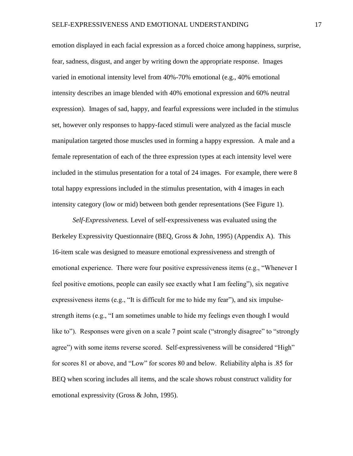emotion displayed in each facial expression as a forced choice among happiness, surprise, fear, sadness, disgust, and anger by writing down the appropriate response. Images varied in emotional intensity level from 40%-70% emotional (e.g., 40% emotional intensity describes an image blended with 40% emotional expression and 60% neutral expression). Images of sad, happy, and fearful expressions were included in the stimulus set, however only responses to happy-faced stimuli were analyzed as the facial muscle manipulation targeted those muscles used in forming a happy expression. A male and a female representation of each of the three expression types at each intensity level were included in the stimulus presentation for a total of 24 images. For example, there were 8 total happy expressions included in the stimulus presentation, with 4 images in each intensity category (low or mid) between both gender representations (See Figure 1).

*Self-Expressiveness.* Level of self-expressiveness was evaluated using the Berkeley Expressivity Questionnaire (BEQ, Gross & John, 1995) (Appendix A). This 16-item scale was designed to measure emotional expressiveness and strength of emotional experience. There were four positive expressiveness items (e.g., "Whenever I feel positive emotions, people can easily see exactly what I am feeling"), six negative expressiveness items (e.g., "It is difficult for me to hide my fear"), and six impulsestrength items (e.g., "I am sometimes unable to hide my feelings even though I would like to"). Responses were given on a scale 7 point scale ("strongly disagree" to "strongly agree") with some items reverse scored. Self-expressiveness will be considered "High" for scores 81 or above, and "Low" for scores 80 and below. Reliability alpha is .85 for BEQ when scoring includes all items, and the scale shows robust construct validity for emotional expressivity (Gross & John, 1995).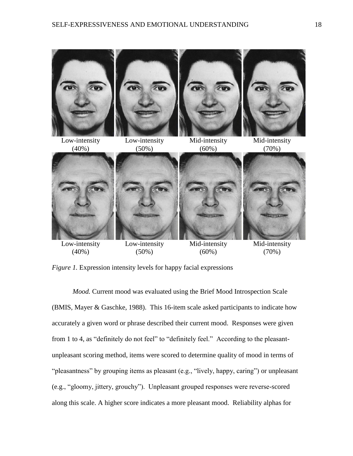

*Figure 1.* Expression intensity levels for happy facial expressions

*Mood.* Current mood was evaluated using the Brief Mood Introspection Scale (BMIS, Mayer & Gaschke, 1988). This 16-item scale asked participants to indicate how accurately a given word or phrase described their current mood. Responses were given from 1 to 4, as "definitely do not feel" to "definitely feel." According to the pleasantunpleasant scoring method, items were scored to determine quality of mood in terms of "pleasantness" by grouping items as pleasant (e.g., "lively, happy, caring") or unpleasant (e.g., "gloomy, jittery, grouchy"). Unpleasant grouped responses were reverse-scored along this scale. A higher score indicates a more pleasant mood. Reliability alphas for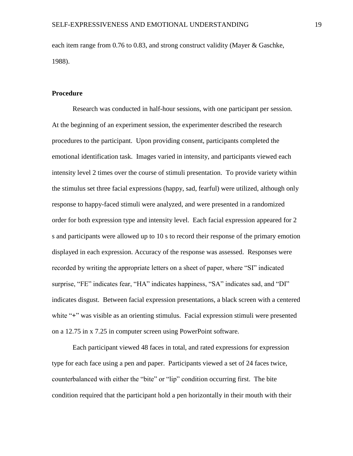each item range from 0.76 to 0.83, and strong construct validity (Mayer & Gaschke, 1988).

#### **Procedure**

Research was conducted in half-hour sessions, with one participant per session. At the beginning of an experiment session, the experimenter described the research procedures to the participant. Upon providing consent, participants completed the emotional identification task. Images varied in intensity, and participants viewed each intensity level 2 times over the course of stimuli presentation. To provide variety within the stimulus set three facial expressions (happy, sad, fearful) were utilized, although only response to happy-faced stimuli were analyzed, and were presented in a randomized order for both expression type and intensity level. Each facial expression appeared for 2 s and participants were allowed up to 10 s to record their response of the primary emotion displayed in each expression. Accuracy of the response was assessed. Responses were recorded by writing the appropriate letters on a sheet of paper, where "SI" indicated surprise, "FE" indicates fear, "HA" indicates happiness, "SA" indicates sad, and "DI" indicates disgust. Between facial expression presentations, a black screen with a centered white "**+**" was visible as an orienting stimulus. Facial expression stimuli were presented on a 12.75 in x 7.25 in computer screen using PowerPoint software.

Each participant viewed 48 faces in total, and rated expressions for expression type for each face using a pen and paper. Participants viewed a set of 24 faces twice, counterbalanced with either the "bite" or "lip" condition occurring first. The bite condition required that the participant hold a pen horizontally in their mouth with their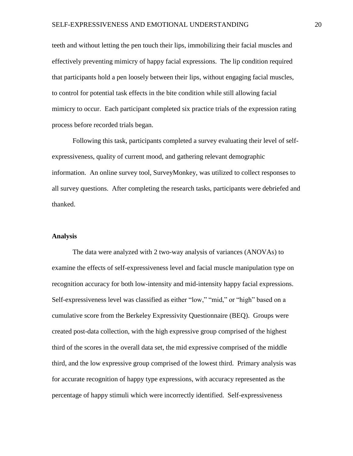teeth and without letting the pen touch their lips, immobilizing their facial muscles and effectively preventing mimicry of happy facial expressions. The lip condition required that participants hold a pen loosely between their lips, without engaging facial muscles, to control for potential task effects in the bite condition while still allowing facial mimicry to occur. Each participant completed six practice trials of the expression rating process before recorded trials began.

Following this task, participants completed a survey evaluating their level of selfexpressiveness, quality of current mood, and gathering relevant demographic information. An online survey tool, SurveyMonkey, was utilized to collect responses to all survey questions. After completing the research tasks, participants were debriefed and thanked.

#### **Analysis**

The data were analyzed with 2 two-way analysis of variances (ANOVAs) to examine the effects of self-expressiveness level and facial muscle manipulation type on recognition accuracy for both low-intensity and mid-intensity happy facial expressions. Self-expressiveness level was classified as either "low," "mid," or "high" based on a cumulative score from the Berkeley Expressivity Questionnaire (BEQ). Groups were created post-data collection, with the high expressive group comprised of the highest third of the scores in the overall data set, the mid expressive comprised of the middle third, and the low expressive group comprised of the lowest third. Primary analysis was for accurate recognition of happy type expressions, with accuracy represented as the percentage of happy stimuli which were incorrectly identified. Self-expressiveness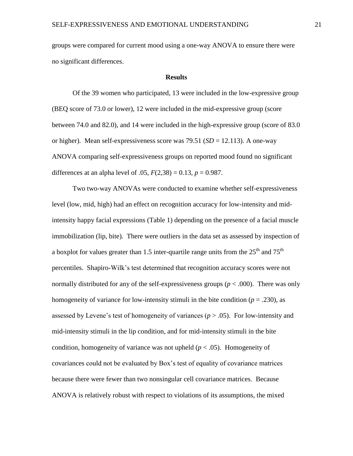groups were compared for current mood using a one-way ANOVA to ensure there were no significant differences.

#### **Results**

Of the 39 women who participated, 13 were included in the low-expressive group (BEQ score of 73.0 or lower), 12 were included in the mid-expressive group (score between 74.0 and 82.0), and 14 were included in the high-expressive group (score of 83.0 or higher). Mean self-expressiveness score was 79.51 (*SD* = 12.113). A one-way ANOVA comparing self-expressiveness groups on reported mood found no significant differences at an alpha level of .05,  $F(2,38) = 0.13$ ,  $p = 0.987$ .

Two two-way ANOVAs were conducted to examine whether self-expressiveness level (low, mid, high) had an effect on recognition accuracy for low-intensity and midintensity happy facial expressions (Table 1) depending on the presence of a facial muscle immobilization (lip, bite). There were outliers in the data set as assessed by inspection of a boxplot for values greater than 1.5 inter-quartile range units from the  $25<sup>th</sup>$  and  $75<sup>th</sup>$ percentiles. Shapiro-Wilk's test determined that recognition accuracy scores were not normally distributed for any of the self-expressiveness groups ( $p < .000$ ). There was only homogeneity of variance for low-intensity stimuli in the bite condition ( $p = .230$ ), as assessed by Levene's test of homogeneity of variances ( $p > .05$ ). For low-intensity and mid-intensity stimuli in the lip condition, and for mid-intensity stimuli in the bite condition, homogeneity of variance was not upheld  $(p < .05)$ . Homogeneity of covariances could not be evaluated by Box's test of equality of covariance matrices because there were fewer than two nonsingular cell covariance matrices. Because ANOVA is relatively robust with respect to violations of its assumptions, the mixed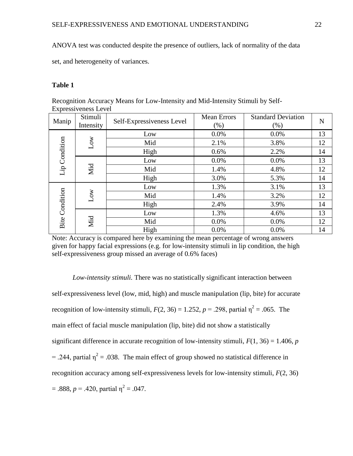ANOVA test was conducted despite the presence of outliers, lack of normality of the data

set, and heterogeneity of variances.

# **Table 1**

Recognition Accuracy Means for Low-Intensity and Mid-Intensity Stimuli by Self-Expressiveness Level

| Manip                 | Stimuli<br>Intensity | Self-Expressiveness Level | <b>Mean Errors</b><br>(% ) | <b>Standard Deviation</b><br>(% ) | N  |
|-----------------------|----------------------|---------------------------|----------------------------|-----------------------------------|----|
| Lip Condition         | Low                  | Low                       | 0.0%                       | 0.0%                              | 13 |
|                       |                      | Mid                       | 2.1%                       | 3.8%                              | 12 |
|                       |                      | High                      | 0.6%                       | 2.2%                              | 14 |
|                       | Mid                  | Low                       | 0.0%                       | 0.0%                              | 13 |
|                       |                      | Mid                       | 1.4%                       | 4.8%                              | 12 |
|                       |                      | High                      | 3.0%                       | 5.3%                              | 14 |
| <b>Bite Condition</b> | Low                  | Low                       | 1.3%                       | 3.1%                              | 13 |
|                       |                      | Mid                       | 1.4%                       | 3.2%                              | 12 |
|                       |                      | High                      | 2.4%                       | 3.9%                              | 14 |
|                       | Mid                  | Low                       | 1.3%                       | 4.6%                              | 13 |
|                       |                      | Mid                       | 0.0%                       | 0.0%                              | 12 |
|                       |                      | High                      | 0.0%                       | 0.0%                              | 14 |

Note: Accuracy is compared here by examining the mean percentage of wrong answers given for happy facial expressions (e.g. for low-intensity stimuli in lip condition, the high self-expressiveness group missed an average of 0.6% faces)

*Low-intensity stimuli.* There was no statistically significant interaction between self-expressiveness level (low, mid, high) and muscle manipulation (lip, bite) for accurate recognition of low-intensity stimuli,  $F(2, 36) = 1.252$ ,  $p = .298$ , partial  $\eta^2 = .065$ . The main effect of facial muscle manipulation (lip, bite) did not show a statistically significant difference in accurate recognition of low-intensity stimuli,  $F(1, 36) = 1.406$ , *p* = .244, partial  $\eta^2$  = .038. The main effect of group showed no statistical difference in recognition accuracy among self-expressiveness levels for low-intensity stimuli, *F*(2, 36)  $= .888, p = .420,$  partial  $\eta^2 = .047$ .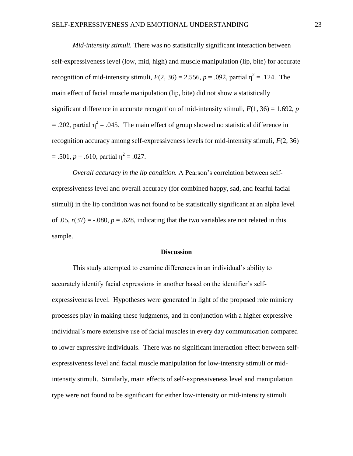*Mid-intensity stimuli.* There was no statistically significant interaction between self-expressiveness level (low, mid, high) and muscle manipulation (lip, bite) for accurate recognition of mid-intensity stimuli,  $F(2, 36) = 2.556$ ,  $p = .092$ , partial  $\eta^2 = .124$ . The main effect of facial muscle manipulation (lip, bite) did not show a statistically significant difference in accurate recognition of mid-intensity stimuli,  $F(1, 36) = 1.692$ , *p* = .202, partial  $\eta^2$  = .045. The main effect of group showed no statistical difference in recognition accuracy among self-expressiveness levels for mid-intensity stimuli, *F*(2, 36)  $= .501, p = .610,$  partial  $\eta^2 = .027$ .

*Overall accuracy in the lip condition.* A Pearson's correlation between selfexpressiveness level and overall accuracy (for combined happy, sad, and fearful facial stimuli) in the lip condition was not found to be statistically significant at an alpha level of .05,  $r(37) = -.080$ ,  $p = .628$ , indicating that the two variables are not related in this sample.

#### **Discussion**

This study attempted to examine differences in an individual's ability to accurately identify facial expressions in another based on the identifier's selfexpressiveness level. Hypotheses were generated in light of the proposed role mimicry processes play in making these judgments, and in conjunction with a higher expressive individual's more extensive use of facial muscles in every day communication compared to lower expressive individuals. There was no significant interaction effect between selfexpressiveness level and facial muscle manipulation for low-intensity stimuli or midintensity stimuli. Similarly, main effects of self-expressiveness level and manipulation type were not found to be significant for either low-intensity or mid-intensity stimuli.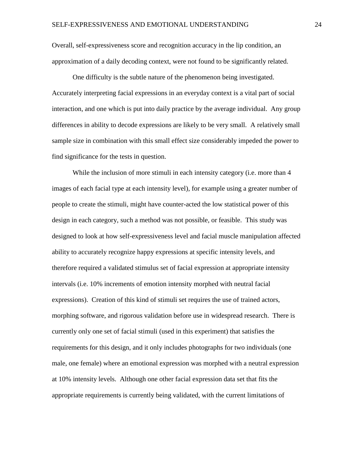Overall, self-expressiveness score and recognition accuracy in the lip condition, an approximation of a daily decoding context, were not found to be significantly related.

One difficulty is the subtle nature of the phenomenon being investigated. Accurately interpreting facial expressions in an everyday context is a vital part of social interaction, and one which is put into daily practice by the average individual. Any group differences in ability to decode expressions are likely to be very small. A relatively small sample size in combination with this small effect size considerably impeded the power to find significance for the tests in question.

While the inclusion of more stimuli in each intensity category (i.e. more than 4 images of each facial type at each intensity level), for example using a greater number of people to create the stimuli, might have counter-acted the low statistical power of this design in each category, such a method was not possible, or feasible. This study was designed to look at how self-expressiveness level and facial muscle manipulation affected ability to accurately recognize happy expressions at specific intensity levels, and therefore required a validated stimulus set of facial expression at appropriate intensity intervals (i.e. 10% increments of emotion intensity morphed with neutral facial expressions). Creation of this kind of stimuli set requires the use of trained actors, morphing software, and rigorous validation before use in widespread research. There is currently only one set of facial stimuli (used in this experiment) that satisfies the requirements for this design, and it only includes photographs for two individuals (one male, one female) where an emotional expression was morphed with a neutral expression at 10% intensity levels. Although one other facial expression data set that fits the appropriate requirements is currently being validated, with the current limitations of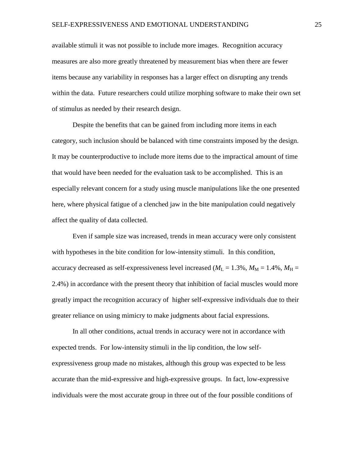available stimuli it was not possible to include more images. Recognition accuracy measures are also more greatly threatened by measurement bias when there are fewer items because any variability in responses has a larger effect on disrupting any trends within the data. Future researchers could utilize morphing software to make their own set of stimulus as needed by their research design.

Despite the benefits that can be gained from including more items in each category, such inclusion should be balanced with time constraints imposed by the design. It may be counterproductive to include more items due to the impractical amount of time that would have been needed for the evaluation task to be accomplished. This is an especially relevant concern for a study using muscle manipulations like the one presented here, where physical fatigue of a clenched jaw in the bite manipulation could negatively affect the quality of data collected.

Even if sample size was increased, trends in mean accuracy were only consistent with hypotheses in the bite condition for low-intensity stimuli. In this condition, accuracy decreased as self-expressiveness level increased ( $M_L = 1.3\%$ ,  $M_M = 1.4\%$ ,  $M_H =$ 2.4%) in accordance with the present theory that inhibition of facial muscles would more greatly impact the recognition accuracy of higher self-expressive individuals due to their greater reliance on using mimicry to make judgments about facial expressions.

In all other conditions, actual trends in accuracy were not in accordance with expected trends. For low-intensity stimuli in the lip condition, the low selfexpressiveness group made no mistakes, although this group was expected to be less accurate than the mid-expressive and high-expressive groups. In fact, low-expressive individuals were the most accurate group in three out of the four possible conditions of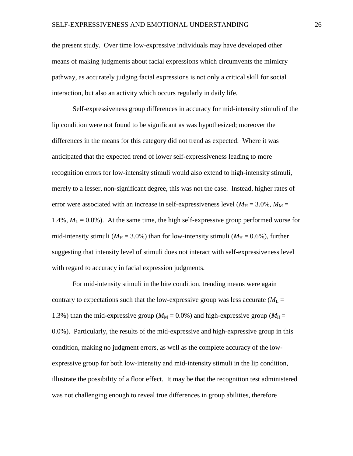the present study. Over time low-expressive individuals may have developed other means of making judgments about facial expressions which circumvents the mimicry pathway, as accurately judging facial expressions is not only a critical skill for social interaction, but also an activity which occurs regularly in daily life.

Self-expressiveness group differences in accuracy for mid-intensity stimuli of the lip condition were not found to be significant as was hypothesized; moreover the differences in the means for this category did not trend as expected. Where it was anticipated that the expected trend of lower self-expressiveness leading to more recognition errors for low-intensity stimuli would also extend to high-intensity stimuli, merely to a lesser, non-significant degree, this was not the case. Instead, higher rates of error were associated with an increase in self-expressiveness level ( $M_H = 3.0\%$ ,  $M_M =$ 1.4%,  $M_L = 0.0\%$ ). At the same time, the high self-expressive group performed worse for mid-intensity stimuli ( $M_H$  = 3.0%) than for low-intensity stimuli ( $M_H$  = 0.6%), further suggesting that intensity level of stimuli does not interact with self-expressiveness level with regard to accuracy in facial expression judgments.

For mid-intensity stimuli in the bite condition, trending means were again contrary to expectations such that the low-expressive group was less accurate  $(M_L =$ 1.3%) than the mid-expressive group ( $M_M$  = 0.0%) and high-expressive group ( $M_H$  = 0.0%). Particularly, the results of the mid-expressive and high-expressive group in this condition, making no judgment errors, as well as the complete accuracy of the lowexpressive group for both low-intensity and mid-intensity stimuli in the lip condition, illustrate the possibility of a floor effect. It may be that the recognition test administered was not challenging enough to reveal true differences in group abilities, therefore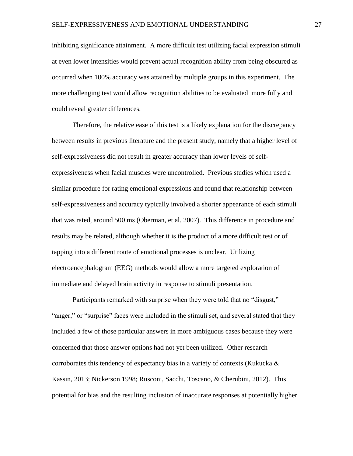inhibiting significance attainment. A more difficult test utilizing facial expression stimuli at even lower intensities would prevent actual recognition ability from being obscured as occurred when 100% accuracy was attained by multiple groups in this experiment. The more challenging test would allow recognition abilities to be evaluated more fully and could reveal greater differences.

Therefore, the relative ease of this test is a likely explanation for the discrepancy between results in previous literature and the present study, namely that a higher level of self-expressiveness did not result in greater accuracy than lower levels of selfexpressiveness when facial muscles were uncontrolled. Previous studies which used a similar procedure for rating emotional expressions and found that relationship between self-expressiveness and accuracy typically involved a shorter appearance of each stimuli that was rated, around 500 ms (Oberman, et al. 2007). This difference in procedure and results may be related, although whether it is the product of a more difficult test or of tapping into a different route of emotional processes is unclear. Utilizing electroencephalogram (EEG) methods would allow a more targeted exploration of immediate and delayed brain activity in response to stimuli presentation.

Participants remarked with surprise when they were told that no "disgust," "anger," or "surprise" faces were included in the stimuli set, and several stated that they included a few of those particular answers in more ambiguous cases because they were concerned that those answer options had not yet been utilized. Other research corroborates this tendency of expectancy bias in a variety of contexts (Kukucka  $\&$ Kassin, 2013; Nickerson 1998; Rusconi, Sacchi, Toscano, & Cherubini, 2012). This potential for bias and the resulting inclusion of inaccurate responses at potentially higher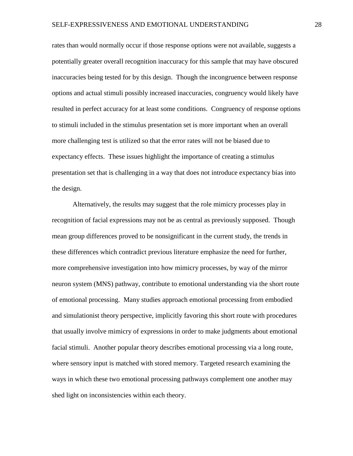rates than would normally occur if those response options were not available, suggests a potentially greater overall recognition inaccuracy for this sample that may have obscured inaccuracies being tested for by this design. Though the incongruence between response options and actual stimuli possibly increased inaccuracies, congruency would likely have resulted in perfect accuracy for at least some conditions. Congruency of response options to stimuli included in the stimulus presentation set is more important when an overall more challenging test is utilized so that the error rates will not be biased due to expectancy effects. These issues highlight the importance of creating a stimulus presentation set that is challenging in a way that does not introduce expectancy bias into the design.

Alternatively, the results may suggest that the role mimicry processes play in recognition of facial expressions may not be as central as previously supposed. Though mean group differences proved to be nonsignificant in the current study, the trends in these differences which contradict previous literature emphasize the need for further, more comprehensive investigation into how mimicry processes, by way of the mirror neuron system (MNS) pathway, contribute to emotional understanding via the short route of emotional processing. Many studies approach emotional processing from embodied and simulationist theory perspective, implicitly favoring this short route with procedures that usually involve mimicry of expressions in order to make judgments about emotional facial stimuli. Another popular theory describes emotional processing via a long route, where sensory input is matched with stored memory. Targeted research examining the ways in which these two emotional processing pathways complement one another may shed light on inconsistencies within each theory.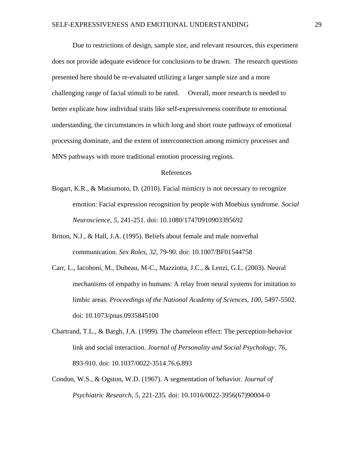Due to restrictions of design, sample size, and relevant resources, this experiment does not provide adequate evidence for conclusions to be drawn. The research questions presented here should be re-evaluated utilizing a larger sample size and a more challenging range of facial stimuli to be rated. Overall, more research is needed to better explicate how individual traits like self-expressiveness contribute to emotional understanding, the circumstances in which long and short route pathways of emotional processing dominate, and the extent of interconnection among mimicry processes and MNS pathways with more traditional emotion processing regions.

## References

- Bogart, K.R., & Matsumoto, D. (2010). Facial mimicry is not necessary to recognize emotion: Facial expression recognition by people with Moebius syndrome. *Social Neuroscience, 5,* 241-251. doi: 10.1080/17470910903395692
- Briton, N.J., & Hall, J.A. (1995). Beliefs about female and male nonverbal communication. *Sex Roles, 32,* 79-90. doi: 10.1007/BF01544758
- Carr, L., Iacoboni, M., Dubeau, M-C., Mazziotta, J.C., & Lenzi, G.L. (2003). Neural mechanisms of empathy in humans: A relay from neural systems for imitation to limbic areas. *Proceedings of the National Academy of Sciences, 100,* 5497-5502. doi: 10.1073/pnas.0935845100
- Chartrand, T.L., & Bargh, J.A. (1999). The chameleon effect: The perception-behavior link and social interaction. *Journal of Personality and Social Psychology, 76,*  893-910. doi: [10.1037/0022-3514.76.6.893](http://psycnet.apa.org/doi/10.1037/0022-3514.76.6.893)
- Condon, W.S., & Ogston, W.D. (1967). A segmentation of behavior. *Journal of Psychiatric Research, 5,* 221-235. doi: 10.1016/0022-3956(67)90004-0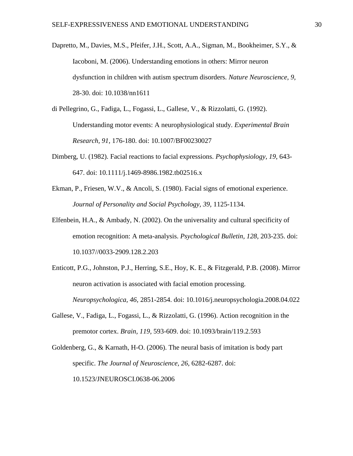- Dapretto, M., Davies, M.S., Pfeifer, J.H., Scott, A.A., Sigman, M., Bookheimer, S.Y., & Iacoboni, M. (2006). Understanding emotions in others: Mirror neuron dysfunction in children with autism spectrum disorders. *Nature Neuroscience, 9,*  28-30. doi: 10.1038/nn1611
- di Pellegrino, G., Fadiga, L., Fogassi, L., Gallese, V., & Rizzolatti, G. (1992). Understanding motor events: A neurophysiological study. *Experimental Brain Research, 91,* 176-180. doi: 10.1007/BF00230027
- Dimberg, U. (1982). Facial reactions to facial expressions. *Psychophysiology, 19,* 643- 647. doi: 10.1111/j.1469-8986.1982.tb02516.x
- Ekman, P., Friesen, W.V., & Ancoli, S. (1980). Facial signs of emotional experience. *Journal of Personality and Social Psychology, 39,* 1125-1134.
- Elfenbein, H.A., & Ambady, N. (2002). On the universality and cultural specificity of emotion recognition: A meta-analysis. *Psychological Bulletin, 128,* 203-235. doi: 10.1037//0033-2909.128.2.203
- Enticott, P.G., Johnston, P.J., Herring, S.E., Hoy, K. E., & Fitzgerald, P.B. (2008). Mirror neuron activation is associated with facial emotion processing. *Neuropsychologica, 46,* 2851-2854. doi: 10.1016/j.neuropsychologia.2008.04.022
- Gallese, V., Fadiga, L., Fogassi, L., & Rizzolatti, G. (1996). Action recognition in the premotor cortex. *Brain, 119,* 593-609. doi: 10.1093/brain/119.2.593
- Goldenberg, G., & Karnath, H-O. (2006). The neural basis of imitation is body part specific. *The Journal of Neuroscience, 26,* 6282-6287. doi: 10.1523/JNEUROSCI.0638-06.2006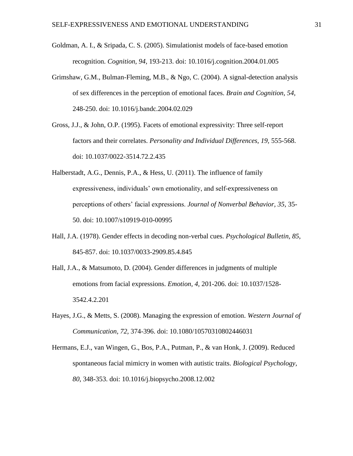- Goldman, A. I., & Sripada, C. S. (2005). Simulationist models of face-based emotion recognition. *Cognition, 94,* 193-213. doi: 10.1016/j.cognition.2004.01.005
- Grimshaw, G.M., Bulman-Fleming, M.B., & Ngo, C. (2004). A signal-detection analysis of sex differences in the perception of emotional faces. *Brain and Cognition, 54,*  248-250. doi: 10.1016/j.bandc.2004.02.029
- Gross, J.J., & John, O.P. (1995). Facets of emotional expressivity: Three self-report factors and their correlates. *Personality and Individual Differences, 19,* 555-568. doi: 10.1037/0022-3514.72.2.435
- Halberstadt, A.G., Dennis, P.A., & Hess, U. (2011). The influence of family expressiveness, individuals' own emotionality, and self-expressiveness on perceptions of others' facial expressions. *Journal of Nonverbal Behavior, 35,* 35- 50. doi: 10.1007/s10919-010-00995
- Hall, J.A. (1978). Gender effects in decoding non-verbal cues. *Psychological Bulletin, 85,*  845-857. doi: 10.1037/0033-2909.85.4.845
- Hall, J.A., & Matsumoto, D. (2004). Gender differences in judgments of multiple emotions from facial expressions. *Emotion, 4,* 201-206. doi: 10.1037/1528- 3542.4.2.201
- Hayes, J.G., & Metts, S. (2008). Managing the expression of emotion. *Western Journal of Communication, 72,* 374-396. doi: 10.1080/10570310802446031
- Hermans, E.J., van Wingen, G., Bos, P.A., Putman, P., & van Honk, J. (2009). Reduced spontaneous facial mimicry in women with autistic traits. *Biological Psychology, 80,* 348-353. doi: 10.1016/j.biopsycho.2008.12.002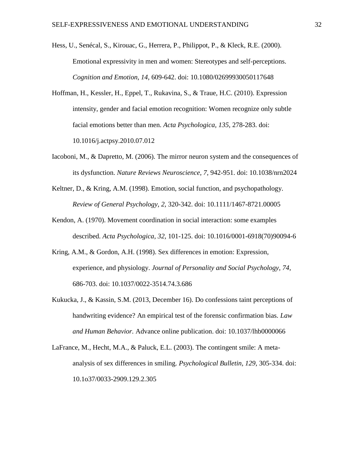Hess, U., Senécal, S., Kirouac, G., Herrera, P., Philippot, P., & Kleck, R.E. (2000). Emotional expressivity in men and women: Stereotypes and self-perceptions. *Cognition and Emotion, 14*, 609-642. doi: 10.1080/02699930050117648

- Hoffman, H., Kessler, H., Eppel, T., Rukavina, S., & Traue, H.C. (2010). Expression intensity, gender and facial emotion recognition: Women recognize only subtle facial emotions better than men. *Acta Psychologica, 135,* 278-283. doi: 10.1016/j.actpsy.2010.07.012
- Iacoboni, M., & Dapretto, M. (2006). The mirror neuron system and the consequences of its dysfunction. *Nature Reviews Neuroscience, 7,* 942-951. doi: 10.1038/nrn2024
- Keltner, D., & Kring, A.M. (1998). Emotion, social function, and psychopathology. *Review of General Psychology, 2,* 320-342. doi: 10.1111/1467-8721.00005
- Kendon, A. (1970). Movement coordination in social interaction: some examples described. *Acta Psychologica, 32,* 101-125. doi: 10.1016/0001-6918(70)90094-6
- Kring, A.M., & Gordon, A.H. (1998). Sex differences in emotion: Expression, experience, and physiology. *Journal of Personality and Social Psychology, 74,*  686-703. doi: 10.1037/0022-3514.74.3.686
- Kukucka, J., & Kassin, S.M. (2013, December 16). Do confessions taint perceptions of handwriting evidence? An empirical test of the forensic confirmation bias. *Law and Human Behavior.* Advance online publication. doi: 10.1037/lhb0000066
- LaFrance, M., Hecht, M.A., & Paluck, E.L. (2003). The contingent smile: A metaanalysis of sex differences in smiling. *Psychological Bulletin, 129,* 305-334. doi: 10.1o37/0033-2909.129.2.305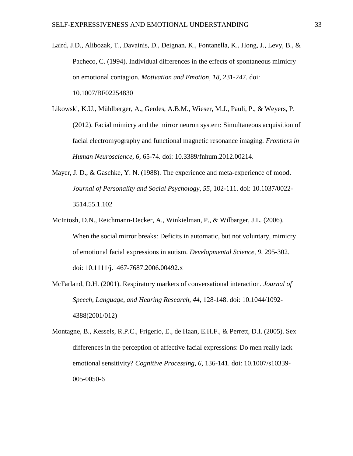- Laird, J.D., Alibozak, T., Davainis, D., Deignan, K., Fontanella, K., Hong, J., Levy, B., & Pacheco, C. (1994). Individual differences in the effects of spontaneous mimicry on emotional contagion. *Motivation and Emotion, 18,* 231-247. doi: 10.1007/BF02254830
- Likowski, K.U., Mühlberger, A., Gerdes, A.B.M., Wieser, M.J., Pauli, P., & Weyers, P. (2012). Facial mimicry and the mirror neuron system: Simultaneous acquisition of facial electromyography and functional magnetic resonance imaging. *Frontiers in Human Neuroscience, 6,* 65-74. doi: 10.3389/fnhum.2012.00214.
- Mayer, J. D., & Gaschke, Y. N. (1988). The experience and meta-experience of mood. *Journal of Personality and Social Psychology, 55*, 102-111. doi: 10.1037/0022- 3514.55.1.102
- McIntosh, D.N., Reichmann-Decker, A., Winkielman, P., & Wilbarger, J.L. (2006). When the social mirror breaks: Deficits in automatic, but not voluntary, mimicry of emotional facial expressions in autism. *Developmental Science, 9,* 295-302. doi: 10.1111/j.1467-7687.2006.00492.x
- McFarland, D.H. (2001). Respiratory markers of conversational interaction. *Journal of Speech, Language, and Hearing Research, 44,* 128-148. doi: 10.1044/1092- 4388(2001/012)
- Montagne, B., Kessels, R.P.C., Frigerio, E., de Haan, E.H.F., & Perrett, D.I. (2005). Sex differences in the perception of affective facial expressions: Do men really lack emotional sensitivity? *Cognitive Processing, 6,* 136-141. doi: 10.1007/s10339- 005-0050-6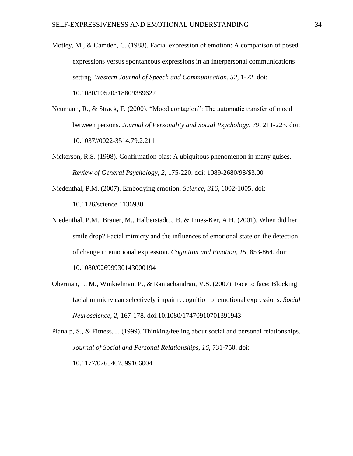- Motley, M., & Camden, C. (1988). Facial expression of emotion: A comparison of posed expressions versus spontaneous expressions in an interpersonal communications setting. *Western Journal of Speech and Communication, 52,* 1-22. doi: 10.1080/10570318809389622
- Neumann, R., & Strack, F. (2000). "Mood contagion": The automatic transfer of mood between persons. *Journal of Personality and Social Psychology, 79,* 211-223. doi: 10.1037//0022-3514.79.2.211
- Nickerson, R.S. (1998). Confirmation bias: A ubiquitous phenomenon in many guises. *Review of General Psychology, 2,* 175-220. doi: 1089-2680/98/\$3.00
- Niedenthal, P.M. (2007). Embodying emotion. *Science, 316,* 1002-1005. doi: 10.1126/science.1136930
- Niedenthal, P.M., Brauer, M., Halberstadt, J.B. & Innes-Ker, A.H. (2001). When did her smile drop? Facial mimicry and the influences of emotional state on the detection of change in emotional expression. *Cognition and Emotion, 15,* 853-864. doi: 10.1080/02699930143000194
- Oberman, L. M., Winkielman, P., & Ramachandran, V.S. (2007). Face to face: Blocking facial mimicry can selectively impair recognition of emotional expressions. *Social Neuroscience, 2,* 167-178. doi:10.1080/17470910701391943

Planalp, S., & Fitness, J. (1999). Thinking/feeling about social and personal relationships. *Journal of Social and Personal Relationships, 16,* 731-750. doi: 10.1177/0265407599166004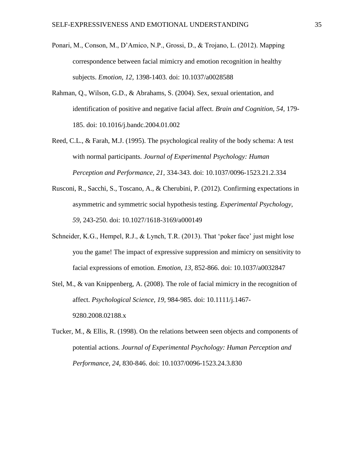- Ponari, M., Conson, M., D'Amico, N.P., Grossi, D., & Trojano, L. (2012). Mapping correspondence between facial mimicry and emotion recognition in healthy subjects. *Emotion, 12,* 1398-1403. doi: 10.1037/a0028588
- Rahman, Q., Wilson, G.D., & Abrahams, S. (2004). Sex, sexual orientation, and identification of positive and negative facial affect. *Brain and Cognition, 54,* 179- 185. doi: 10.1016/j.bandc.2004.01.002
- Reed, C.L., & Farah, M.J. (1995). The psychological reality of the body schema: A test with normal participants. *Journal of Experimental Psychology: Human Perception and Performance, 21,* 334-343. doi: 10.1037/0096-1523.21.2.334
- Rusconi, R., Sacchi, S., Toscano, A., & Cherubini, P. (2012). Confirming expectations in asymmetric and symmetric social hypothesis testing. *Experimental Psychology, 59,* 243-250. doi: 10.1027/1618-3169/a000149
- Schneider, K.G., Hempel, R.J., & Lynch, T.R. (2013). That 'poker face' just might lose you the game! The impact of expressive suppression and mimicry on sensitivity to facial expressions of emotion. *Emotion, 13,* 852-866. doi: 10.1037/a0032847
- Stel, M., & van Knippenberg, A. (2008). The role of facial mimicry in the recognition of affect. *Psychological Science, 19,* 984-985. doi: 10.1111/j.1467- 9280.2008.02188.x
- Tucker, M., & Ellis, R. (1998). On the relations between seen objects and components of potential actions. *Journal of Experimental Psychology: Human Perception and Performance, 24,* 830-846. doi: 10.1037/0096-1523.24.3.830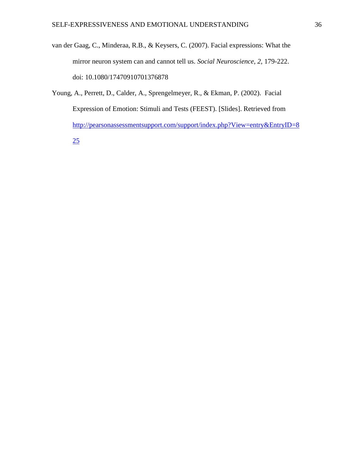- van der Gaag, C., Minderaa, R.B., & Keysers, C. (2007). Facial expressions: What the mirror neuron system can and cannot tell us. *Social Neuroscience, 2,* 179-222. doi: 10.1080/17470910701376878
- Young, A., Perrett, D., Calder, A., Sprengelmeyer, R., & Ekman, P. (2002). Facial Expression of Emotion: Stimuli and Tests (FEEST). [Slides]. Retrieved from [http://pearsonassessmentsupport.com/support/index.php?View=entry&EntryID=8](http://pearsonassessmentsupport.com/support/index.php?View=entry&EntryID=825) [25](http://pearsonassessmentsupport.com/support/index.php?View=entry&EntryID=825)